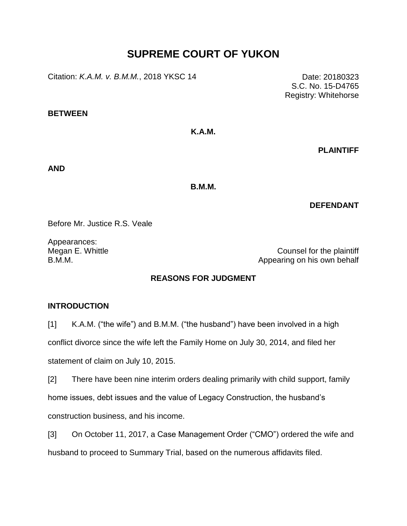# **SUPREME COURT OF YUKON**

Citation: *K.A.M. v. B.M.M.*, 2018 YKSC 14 Date: 20180323

**BETWEEN**

**K.A.M.**

**PLAINTIFF**

**AND**

**B.M.M.**

# **DEFENDANT**

Before Mr. Justice R.S. Veale

Appearances:

Megan E. Whittle Megan E. Whittle Counsel for the plaintiff B.M.M. Appearing on his own behalf

# **REASONS FOR JUDGMENT**

#### **INTRODUCTION**

[1] K.A.M. ("the wife") and B.M.M. ("the husband") have been involved in a high conflict divorce since the wife left the Family Home on July 30, 2014, and filed her

statement of claim on July 10, 2015.

[2] There have been nine interim orders dealing primarily with child support, family home issues, debt issues and the value of Legacy Construction, the husband's construction business, and his income.

[3] On October 11, 2017, a Case Management Order ("CMO") ordered the wife and husband to proceed to Summary Trial, based on the numerous affidavits filed.

S.C. No. 15-D4765 Registry: Whitehorse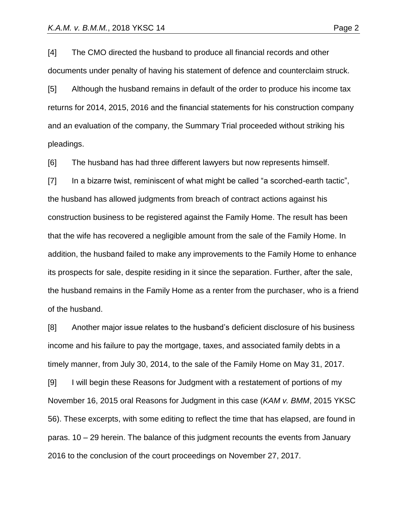[4] The CMO directed the husband to produce all financial records and other documents under penalty of having his statement of defence and counterclaim struck.

[5] Although the husband remains in default of the order to produce his income tax returns for 2014, 2015, 2016 and the financial statements for his construction company and an evaluation of the company, the Summary Trial proceeded without striking his pleadings.

[6] The husband has had three different lawyers but now represents himself.

[7] In a bizarre twist, reminiscent of what might be called "a scorched-earth tactic", the husband has allowed judgments from breach of contract actions against his construction business to be registered against the Family Home. The result has been that the wife has recovered a negligible amount from the sale of the Family Home. In addition, the husband failed to make any improvements to the Family Home to enhance its prospects for sale, despite residing in it since the separation. Further, after the sale, the husband remains in the Family Home as a renter from the purchaser, who is a friend of the husband.

[8] Another major issue relates to the husband's deficient disclosure of his business income and his failure to pay the mortgage, taxes, and associated family debts in a timely manner, from July 30, 2014, to the sale of the Family Home on May 31, 2017.

[9] I will begin these Reasons for Judgment with a restatement of portions of my November 16, 2015 oral Reasons for Judgment in this case (*KAM v. BMM*, 2015 YKSC 56). These excerpts, with some editing to reflect the time that has elapsed, are found in paras. 10 – 29 herein. The balance of this judgment recounts the events from January 2016 to the conclusion of the court proceedings on November 27, 2017.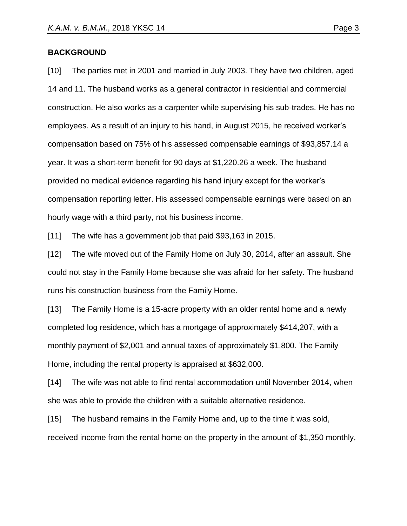#### **BACKGROUND**

[10] The parties met in 2001 and married in July 2003. They have two children, aged 14 and 11. The husband works as a general contractor in residential and commercial construction. He also works as a carpenter while supervising his sub-trades. He has no employees. As a result of an injury to his hand, in August 2015, he received worker's compensation based on 75% of his assessed compensable earnings of \$93,857.14 a year. It was a short-term benefit for 90 days at \$1,220.26 a week. The husband provided no medical evidence regarding his hand injury except for the worker's compensation reporting letter. His assessed compensable earnings were based on an hourly wage with a third party, not his business income.

[11] The wife has a government job that paid \$93,163 in 2015.

[12] The wife moved out of the Family Home on July 30, 2014, after an assault. She could not stay in the Family Home because she was afraid for her safety. The husband runs his construction business from the Family Home.

[13] The Family Home is a 15-acre property with an older rental home and a newly completed log residence, which has a mortgage of approximately \$414,207, with a monthly payment of \$2,001 and annual taxes of approximately \$1,800. The Family Home, including the rental property is appraised at \$632,000.

[14] The wife was not able to find rental accommodation until November 2014, when she was able to provide the children with a suitable alternative residence.

[15] The husband remains in the Family Home and, up to the time it was sold, received income from the rental home on the property in the amount of \$1,350 monthly,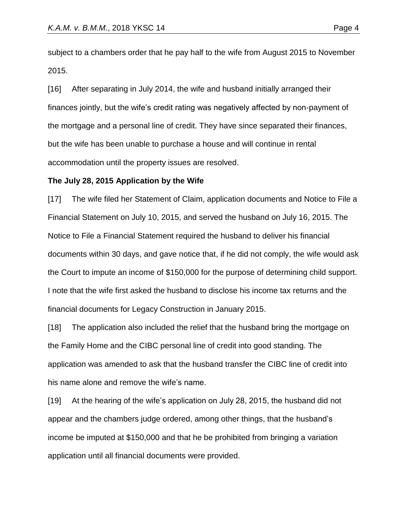subject to a chambers order that he pay half to the wife from August 2015 to November 2015.

[16] After separating in July 2014, the wife and husband initially arranged their finances jointly, but the wife's credit rating was negatively affected by non-payment of the mortgage and a personal line of credit. They have since separated their finances, but the wife has been unable to purchase a house and will continue in rental accommodation until the property issues are resolved.

#### **The July 28, 2015 Application by the Wife**

[17] The wife filed her Statement of Claim, application documents and Notice to File a Financial Statement on July 10, 2015, and served the husband on July 16, 2015. The Notice to File a Financial Statement required the husband to deliver his financial documents within 30 days, and gave notice that, if he did not comply, the wife would ask the Court to impute an income of \$150,000 for the purpose of determining child support. I note that the wife first asked the husband to disclose his income tax returns and the financial documents for Legacy Construction in January 2015.

[18] The application also included the relief that the husband bring the mortgage on the Family Home and the CIBC personal line of credit into good standing. The application was amended to ask that the husband transfer the CIBC line of credit into his name alone and remove the wife's name.

[19] At the hearing of the wife's application on July 28, 2015, the husband did not appear and the chambers judge ordered, among other things, that the husband's income be imputed at \$150,000 and that he be prohibited from bringing a variation application until all financial documents were provided.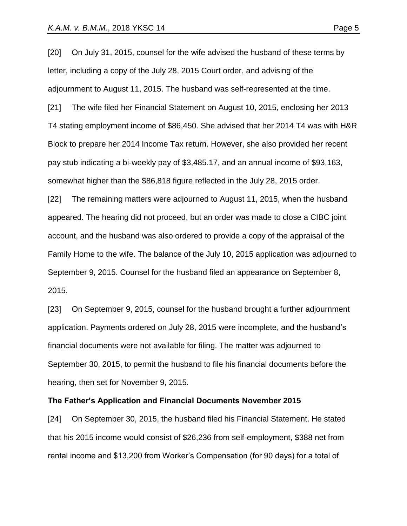[20] On July 31, 2015, counsel for the wife advised the husband of these terms by letter, including a copy of the July 28, 2015 Court order, and advising of the adjournment to August 11, 2015. The husband was self-represented at the time.

[21] The wife filed her Financial Statement on August 10, 2015, enclosing her 2013 T4 stating employment income of \$86,450. She advised that her 2014 T4 was with H&R Block to prepare her 2014 Income Tax return. However, she also provided her recent pay stub indicating a bi-weekly pay of \$3,485.17, and an annual income of \$93,163, somewhat higher than the \$86,818 figure reflected in the July 28, 2015 order.

[22] The remaining matters were adjourned to August 11, 2015, when the husband appeared. The hearing did not proceed, but an order was made to close a CIBC joint account, and the husband was also ordered to provide a copy of the appraisal of the Family Home to the wife. The balance of the July 10, 2015 application was adjourned to September 9, 2015. Counsel for the husband filed an appearance on September 8, 2015.

[23] On September 9, 2015, counsel for the husband brought a further adjournment application. Payments ordered on July 28, 2015 were incomplete, and the husband's financial documents were not available for filing. The matter was adjourned to September 30, 2015, to permit the husband to file his financial documents before the hearing, then set for November 9, 2015.

#### **The Father's Application and Financial Documents November 2015**

[24] On September 30, 2015, the husband filed his Financial Statement. He stated that his 2015 income would consist of \$26,236 from self-employment, \$388 net from rental income and \$13,200 from Worker's Compensation (for 90 days) for a total of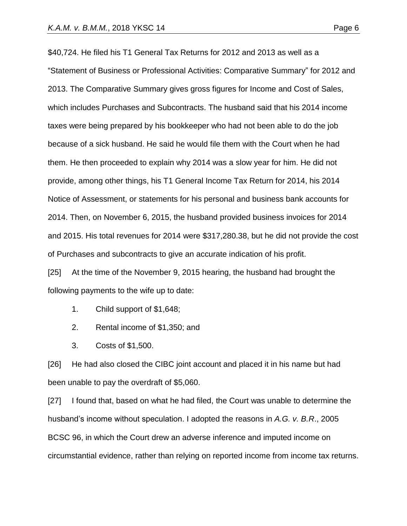\$40,724. He filed his T1 General Tax Returns for 2012 and 2013 as well as a "Statement of Business or Professional Activities: Comparative Summary" for 2012 and 2013. The Comparative Summary gives gross figures for Income and Cost of Sales, which includes Purchases and Subcontracts. The husband said that his 2014 income taxes were being prepared by his bookkeeper who had not been able to do the job because of a sick husband. He said he would file them with the Court when he had them. He then proceeded to explain why 2014 was a slow year for him. He did not provide, among other things, his T1 General Income Tax Return for 2014, his 2014 Notice of Assessment, or statements for his personal and business bank accounts for 2014. Then, on November 6, 2015, the husband provided business invoices for 2014 and 2015. His total revenues for 2014 were \$317,280.38, but he did not provide the cost of Purchases and subcontracts to give an accurate indication of his profit.

[25] At the time of the November 9, 2015 hearing, the husband had brought the following payments to the wife up to date:

- 1. Child support of \$1,648;
- 2. Rental income of \$1,350; and
- 3. Costs of \$1,500.

[26] He had also closed the CIBC joint account and placed it in his name but had been unable to pay the overdraft of \$5,060.

[27] I found that, based on what he had filed, the Court was unable to determine the husband's income without speculation. I adopted the reasons in *A.G. v. B.R*., 2005 BCSC 96, in which the Court drew an adverse inference and imputed income on circumstantial evidence, rather than relying on reported income from income tax returns.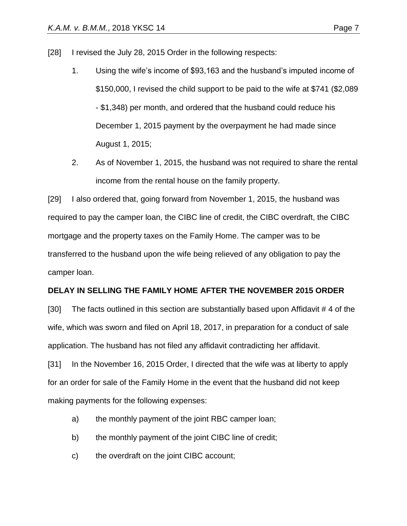- [28] I revised the July 28, 2015 Order in the following respects:
	- 1. Using the wife's income of \$93,163 and the husband's imputed income of \$150,000, I revised the child support to be paid to the wife at \$741 (\$2,089 - \$1,348) per month, and ordered that the husband could reduce his December 1, 2015 payment by the overpayment he had made since August 1, 2015;
	- 2. As of November 1, 2015, the husband was not required to share the rental income from the rental house on the family property.

[29] I also ordered that, going forward from November 1, 2015, the husband was required to pay the camper loan, the CIBC line of credit, the CIBC overdraft, the CIBC mortgage and the property taxes on the Family Home. The camper was to be transferred to the husband upon the wife being relieved of any obligation to pay the camper loan.

#### **DELAY IN SELLING THE FAMILY HOME AFTER THE NOVEMBER 2015 ORDER**

[30] The facts outlined in this section are substantially based upon Affidavit # 4 of the wife, which was sworn and filed on April 18, 2017, in preparation for a conduct of sale application. The husband has not filed any affidavit contradicting her affidavit.

[31] In the November 16, 2015 Order, I directed that the wife was at liberty to apply for an order for sale of the Family Home in the event that the husband did not keep making payments for the following expenses:

- a) the monthly payment of the joint RBC camper loan;
- b) the monthly payment of the joint CIBC line of credit;
- c) the overdraft on the joint CIBC account;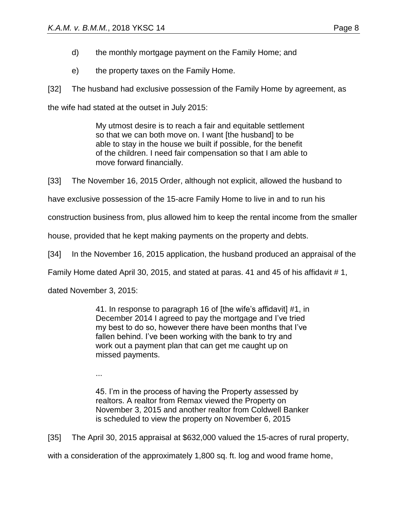- d) the monthly mortgage payment on the Family Home; and
- e) the property taxes on the Family Home.

[32] The husband had exclusive possession of the Family Home by agreement, as

the wife had stated at the outset in July 2015:

My utmost desire is to reach a fair and equitable settlement so that we can both move on. I want [the husband] to be able to stay in the house we built if possible, for the benefit of the children. I need fair compensation so that I am able to move forward financially.

[33] The November 16, 2015 Order, although not explicit, allowed the husband to

have exclusive possession of the 15-acre Family Home to live in and to run his

construction business from, plus allowed him to keep the rental income from the smaller

house, provided that he kept making payments on the property and debts.

[34] In the November 16, 2015 application, the husband produced an appraisal of the

Family Home dated April 30, 2015, and stated at paras. 41 and 45 of his affidavit # 1,

dated November 3, 2015:

41. In response to paragraph 16 of [the wife's affidavit] #1, in December 2014 I agreed to pay the mortgage and I've tried my best to do so, however there have been months that I've fallen behind. I've been working with the bank to try and work out a payment plan that can get me caught up on missed payments.

...

45. I'm in the process of having the Property assessed by realtors. A realtor from Remax viewed the Property on November 3, 2015 and another realtor from Coldwell Banker is scheduled to view the property on November 6, 2015

[35] The April 30, 2015 appraisal at \$632,000 valued the 15-acres of rural property,

with a consideration of the approximately 1,800 sq. ft. log and wood frame home,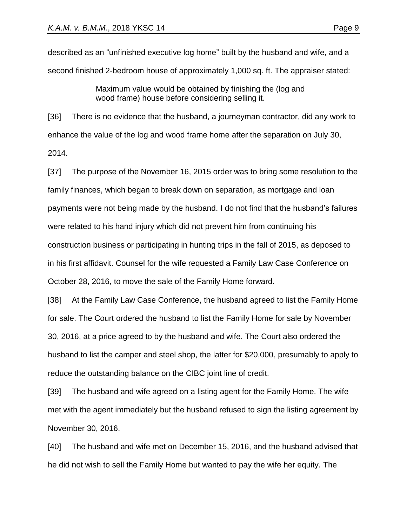described as an "unfinished executive log home" built by the husband and wife, and a second finished 2-bedroom house of approximately 1,000 sq. ft. The appraiser stated:

> Maximum value would be obtained by finishing the (log and wood frame) house before considering selling it.

[36] There is no evidence that the husband, a journeyman contractor, did any work to enhance the value of the log and wood frame home after the separation on July 30, 2014.

[37] The purpose of the November 16, 2015 order was to bring some resolution to the family finances, which began to break down on separation, as mortgage and loan payments were not being made by the husband. I do not find that the husband's failures were related to his hand injury which did not prevent him from continuing his construction business or participating in hunting trips in the fall of 2015, as deposed to in his first affidavit. Counsel for the wife requested a Family Law Case Conference on October 28, 2016, to move the sale of the Family Home forward.

[38] At the Family Law Case Conference, the husband agreed to list the Family Home for sale. The Court ordered the husband to list the Family Home for sale by November 30, 2016, at a price agreed to by the husband and wife. The Court also ordered the husband to list the camper and steel shop, the latter for \$20,000, presumably to apply to reduce the outstanding balance on the CIBC joint line of credit.

[39] The husband and wife agreed on a listing agent for the Family Home. The wife met with the agent immediately but the husband refused to sign the listing agreement by November 30, 2016.

[40] The husband and wife met on December 15, 2016, and the husband advised that he did not wish to sell the Family Home but wanted to pay the wife her equity. The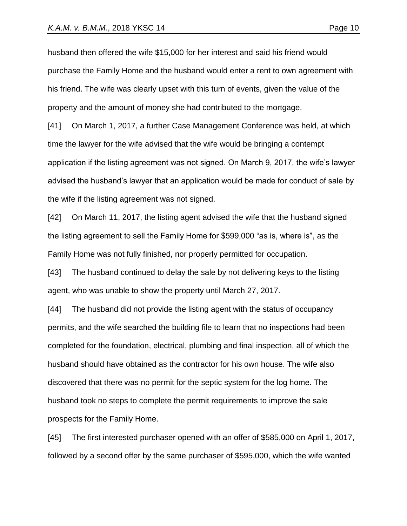husband then offered the wife \$15,000 for her interest and said his friend would purchase the Family Home and the husband would enter a rent to own agreement with his friend. The wife was clearly upset with this turn of events, given the value of the property and the amount of money she had contributed to the mortgage.

[41] On March 1, 2017, a further Case Management Conference was held, at which time the lawyer for the wife advised that the wife would be bringing a contempt application if the listing agreement was not signed. On March 9, 2017, the wife's lawyer advised the husband's lawyer that an application would be made for conduct of sale by the wife if the listing agreement was not signed.

[42] On March 11, 2017, the listing agent advised the wife that the husband signed the listing agreement to sell the Family Home for \$599,000 "as is, where is", as the Family Home was not fully finished, nor properly permitted for occupation.

[43] The husband continued to delay the sale by not delivering keys to the listing agent, who was unable to show the property until March 27, 2017.

[44] The husband did not provide the listing agent with the status of occupancy permits, and the wife searched the building file to learn that no inspections had been completed for the foundation, electrical, plumbing and final inspection, all of which the husband should have obtained as the contractor for his own house. The wife also discovered that there was no permit for the septic system for the log home. The husband took no steps to complete the permit requirements to improve the sale prospects for the Family Home.

[45] The first interested purchaser opened with an offer of \$585,000 on April 1, 2017, followed by a second offer by the same purchaser of \$595,000, which the wife wanted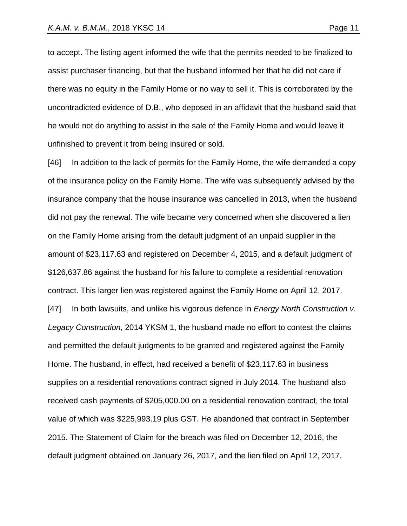to accept. The listing agent informed the wife that the permits needed to be finalized to assist purchaser financing, but that the husband informed her that he did not care if there was no equity in the Family Home or no way to sell it. This is corroborated by the uncontradicted evidence of D.B., who deposed in an affidavit that the husband said that he would not do anything to assist in the sale of the Family Home and would leave it unfinished to prevent it from being insured or sold.

[46] In addition to the lack of permits for the Family Home, the wife demanded a copy of the insurance policy on the Family Home. The wife was subsequently advised by the insurance company that the house insurance was cancelled in 2013, when the husband did not pay the renewal. The wife became very concerned when she discovered a lien on the Family Home arising from the default judgment of an unpaid supplier in the amount of \$23,117.63 and registered on December 4, 2015, and a default judgment of \$126,637.86 against the husband for his failure to complete a residential renovation contract. This larger lien was registered against the Family Home on April 12, 2017. [47] In both lawsuits, and unlike his vigorous defence in *Energy North Construction v. Legacy Construction*, 2014 YKSM 1, the husband made no effort to contest the claims and permitted the default judgments to be granted and registered against the Family Home. The husband, in effect, had received a benefit of \$23,117.63 in business supplies on a residential renovations contract signed in July 2014. The husband also received cash payments of \$205,000.00 on a residential renovation contract, the total value of which was \$225,993.19 plus GST. He abandoned that contract in September 2015. The Statement of Claim for the breach was filed on December 12, 2016, the default judgment obtained on January 26, 2017, and the lien filed on April 12, 2017.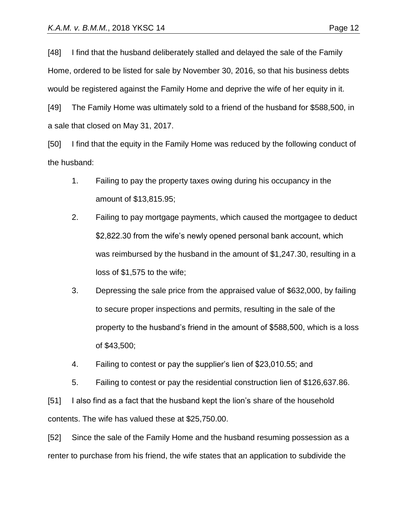[48] I find that the husband deliberately stalled and delayed the sale of the Family Home, ordered to be listed for sale by November 30, 2016, so that his business debts would be registered against the Family Home and deprive the wife of her equity in it.

[49] The Family Home was ultimately sold to a friend of the husband for \$588,500, in a sale that closed on May 31, 2017.

[50] I find that the equity in the Family Home was reduced by the following conduct of the husband:

- 1. Failing to pay the property taxes owing during his occupancy in the amount of \$13,815.95;
- 2. Failing to pay mortgage payments, which caused the mortgagee to deduct \$2,822.30 from the wife's newly opened personal bank account, which was reimbursed by the husband in the amount of \$1,247.30, resulting in a loss of \$1,575 to the wife;
- 3. Depressing the sale price from the appraised value of \$632,000, by failing to secure proper inspections and permits, resulting in the sale of the property to the husband's friend in the amount of \$588,500, which is a loss of \$43,500;
- 4. Failing to contest or pay the supplier's lien of \$23,010.55; and
- 5. Failing to contest or pay the residential construction lien of \$126,637.86.

[51] I also find as a fact that the husband kept the lion's share of the household contents. The wife has valued these at \$25,750.00.

[52] Since the sale of the Family Home and the husband resuming possession as a renter to purchase from his friend, the wife states that an application to subdivide the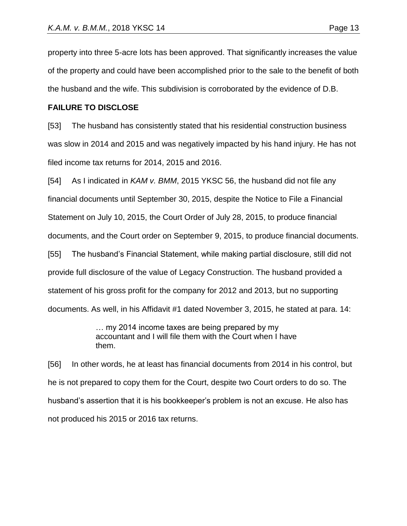property into three 5-acre lots has been approved. That significantly increases the value of the property and could have been accomplished prior to the sale to the benefit of both the husband and the wife. This subdivision is corroborated by the evidence of D.B.

### **FAILURE TO DISCLOSE**

[53] The husband has consistently stated that his residential construction business was slow in 2014 and 2015 and was negatively impacted by his hand injury. He has not filed income tax returns for 2014, 2015 and 2016.

[54] As I indicated in *KAM v. BMM*, 2015 YKSC 56, the husband did not file any financial documents until September 30, 2015, despite the Notice to File a Financial Statement on July 10, 2015, the Court Order of July 28, 2015, to produce financial documents, and the Court order on September 9, 2015, to produce financial documents. [55] The husband's Financial Statement, while making partial disclosure, still did not provide full disclosure of the value of Legacy Construction. The husband provided a statement of his gross profit for the company for 2012 and 2013, but no supporting documents. As well, in his Affidavit #1 dated November 3, 2015, he stated at para. 14:

> … my 2014 income taxes are being prepared by my accountant and I will file them with the Court when I have them.

[56] In other words, he at least has financial documents from 2014 in his control, but he is not prepared to copy them for the Court, despite two Court orders to do so. The husband's assertion that it is his bookkeeper's problem is not an excuse. He also has not produced his 2015 or 2016 tax returns.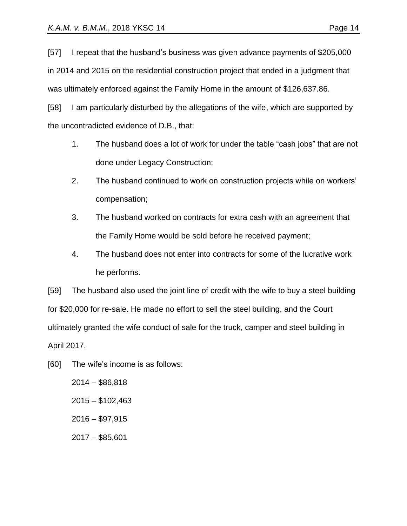[57] I repeat that the husband's business was given advance payments of \$205,000 in 2014 and 2015 on the residential construction project that ended in a judgment that was ultimately enforced against the Family Home in the amount of \$126,637.86.

[58] I am particularly disturbed by the allegations of the wife, which are supported by the uncontradicted evidence of D.B., that:

- 1. The husband does a lot of work for under the table "cash jobs" that are not done under Legacy Construction;
- 2. The husband continued to work on construction projects while on workers' compensation;
- 3. The husband worked on contracts for extra cash with an agreement that the Family Home would be sold before he received payment;
- 4. The husband does not enter into contracts for some of the lucrative work he performs.

[59] The husband also used the joint line of credit with the wife to buy a steel building for \$20,000 for re-sale. He made no effort to sell the steel building, and the Court ultimately granted the wife conduct of sale for the truck, camper and steel building in April 2017.

[60] The wife's income is as follows:

2014 – \$86,818 2015 – \$102,463  $2016 - $97,915$ 2017 – \$85,601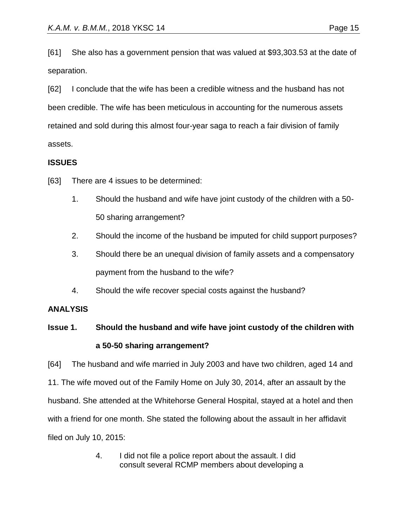[61] She also has a government pension that was valued at \$93,303.53 at the date of separation.

[62] I conclude that the wife has been a credible witness and the husband has not been credible. The wife has been meticulous in accounting for the numerous assets retained and sold during this almost four-year saga to reach a fair division of family assets.

# **ISSUES**

[63] There are 4 issues to be determined:

- 1. Should the husband and wife have joint custody of the children with a 50- 50 sharing arrangement?
- 2. Should the income of the husband be imputed for child support purposes?
- 3. Should there be an unequal division of family assets and a compensatory payment from the husband to the wife?
- 4. Should the wife recover special costs against the husband?

## **ANALYSIS**

# **Issue 1. Should the husband and wife have joint custody of the children with a 50-50 sharing arrangement?**

[64] The husband and wife married in July 2003 and have two children, aged 14 and 11. The wife moved out of the Family Home on July 30, 2014, after an assault by the husband. She attended at the Whitehorse General Hospital, stayed at a hotel and then with a friend for one month. She stated the following about the assault in her affidavit filed on July 10, 2015:

> 4. I did not file a police report about the assault. I did consult several RCMP members about developing a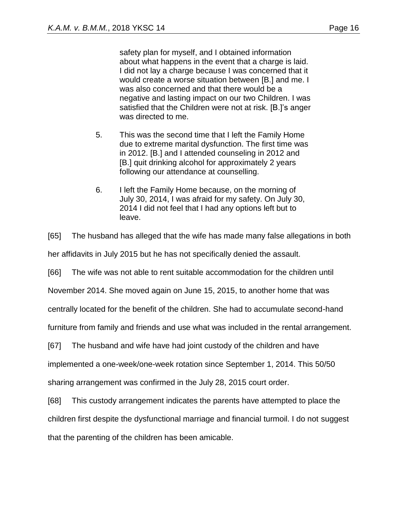was also concerned and that there would be a negative and lasting impact on our two Children. I was satisfied that the Children were not at risk. [B.]'s anger was directed to me.

- 5. This was the second time that I left the Family Home due to extreme marital dysfunction. The first time was in 2012. [B.] and I attended counseling in 2012 and [B.] quit drinking alcohol for approximately 2 years following our attendance at counselling.
- 6. I left the Family Home because, on the morning of July 30, 2014, I was afraid for my safety. On July 30, 2014 I did not feel that I had any options left but to leave.

[65] The husband has alleged that the wife has made many false allegations in both

her affidavits in July 2015 but he has not specifically denied the assault.

[66] The wife was not able to rent suitable accommodation for the children until

November 2014. She moved again on June 15, 2015, to another home that was

centrally located for the benefit of the children. She had to accumulate second-hand

furniture from family and friends and use what was included in the rental arrangement.

[67] The husband and wife have had joint custody of the children and have

implemented a one-week/one-week rotation since September 1, 2014. This 50/50

sharing arrangement was confirmed in the July 28, 2015 court order.

[68] This custody arrangement indicates the parents have attempted to place the children first despite the dysfunctional marriage and financial turmoil. I do not suggest that the parenting of the children has been amicable.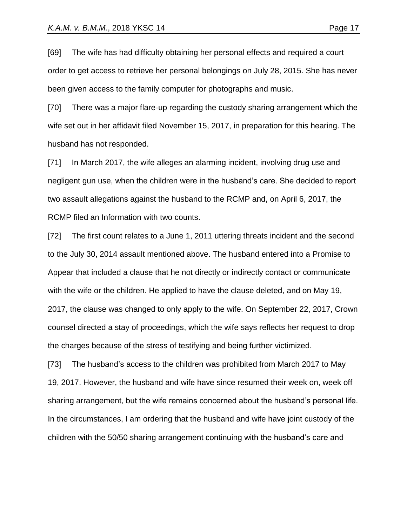[69] The wife has had difficulty obtaining her personal effects and required a court order to get access to retrieve her personal belongings on July 28, 2015. She has never been given access to the family computer for photographs and music.

[70] There was a major flare-up regarding the custody sharing arrangement which the wife set out in her affidavit filed November 15, 2017, in preparation for this hearing. The husband has not responded.

[71] In March 2017, the wife alleges an alarming incident, involving drug use and negligent gun use, when the children were in the husband's care. She decided to report two assault allegations against the husband to the RCMP and, on April 6, 2017, the RCMP filed an Information with two counts.

[72] The first count relates to a June 1, 2011 uttering threats incident and the second to the July 30, 2014 assault mentioned above. The husband entered into a Promise to Appear that included a clause that he not directly or indirectly contact or communicate with the wife or the children. He applied to have the clause deleted, and on May 19, 2017, the clause was changed to only apply to the wife. On September 22, 2017, Crown counsel directed a stay of proceedings, which the wife says reflects her request to drop the charges because of the stress of testifying and being further victimized.

[73] The husband's access to the children was prohibited from March 2017 to May 19, 2017. However, the husband and wife have since resumed their week on, week off sharing arrangement, but the wife remains concerned about the husband's personal life. In the circumstances, I am ordering that the husband and wife have joint custody of the children with the 50/50 sharing arrangement continuing with the husband's care and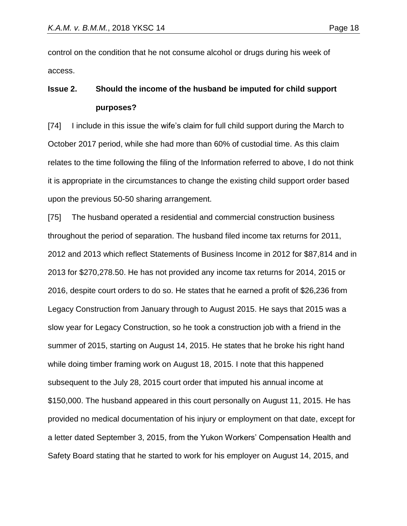control on the condition that he not consume alcohol or drugs during his week of access.

# **Issue 2. Should the income of the husband be imputed for child support purposes?**

[74] I include in this issue the wife's claim for full child support during the March to October 2017 period, while she had more than 60% of custodial time. As this claim relates to the time following the filing of the Information referred to above, I do not think it is appropriate in the circumstances to change the existing child support order based upon the previous 50-50 sharing arrangement.

[75] The husband operated a residential and commercial construction business throughout the period of separation. The husband filed income tax returns for 2011, 2012 and 2013 which reflect Statements of Business Income in 2012 for \$87,814 and in 2013 for \$270,278.50. He has not provided any income tax returns for 2014, 2015 or 2016, despite court orders to do so. He states that he earned a profit of \$26,236 from Legacy Construction from January through to August 2015. He says that 2015 was a slow year for Legacy Construction, so he took a construction job with a friend in the summer of 2015, starting on August 14, 2015. He states that he broke his right hand while doing timber framing work on August 18, 2015. I note that this happened subsequent to the July 28, 2015 court order that imputed his annual income at \$150,000. The husband appeared in this court personally on August 11, 2015. He has provided no medical documentation of his injury or employment on that date, except for a letter dated September 3, 2015, from the Yukon Workers' Compensation Health and Safety Board stating that he started to work for his employer on August 14, 2015, and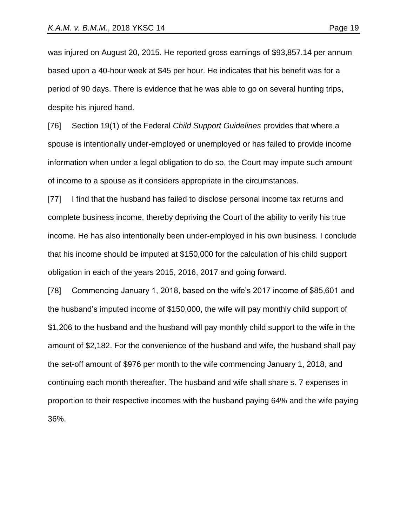was injured on August 20, 2015. He reported gross earnings of \$93,857.14 per annum based upon a 40-hour week at \$45 per hour. He indicates that his benefit was for a period of 90 days. There is evidence that he was able to go on several hunting trips, despite his injured hand.

[76] Section 19(1) of the Federal *Child Support Guidelines* provides that where a spouse is intentionally under-employed or unemployed or has failed to provide income information when under a legal obligation to do so, the Court may impute such amount of income to a spouse as it considers appropriate in the circumstances.

[77] I find that the husband has failed to disclose personal income tax returns and complete business income, thereby depriving the Court of the ability to verify his true income. He has also intentionally been under-employed in his own business. I conclude that his income should be imputed at \$150,000 for the calculation of his child support obligation in each of the years 2015, 2016, 2017 and going forward.

[78] Commencing January 1, 2018, based on the wife's 2017 income of \$85,601 and the husband's imputed income of \$150,000, the wife will pay monthly child support of \$1,206 to the husband and the husband will pay monthly child support to the wife in the amount of \$2,182. For the convenience of the husband and wife, the husband shall pay the set-off amount of \$976 per month to the wife commencing January 1, 2018, and continuing each month thereafter. The husband and wife shall share s. 7 expenses in proportion to their respective incomes with the husband paying 64% and the wife paying 36%.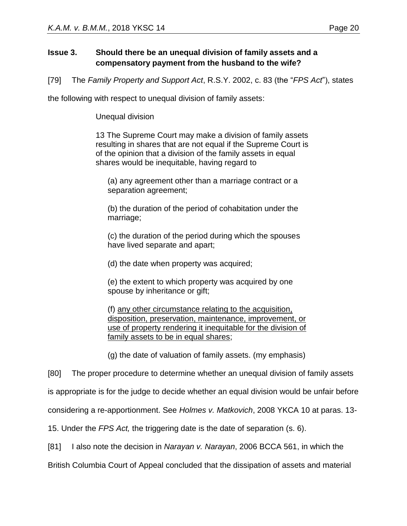# **Issue 3. Should there be an unequal division of family assets and a compensatory payment from the husband to the wife?**

[79] The *Family Property and Support Act*, R.S.Y. 2002, c. 83 (the "*FPS Act*"), states

the following with respect to unequal division of family assets:

Unequal division

13 The Supreme Court may make a division of family assets resulting in shares that are not equal if the Supreme Court is of the opinion that a division of the family assets in equal shares would be inequitable, having regard to

(a) any agreement other than a marriage contract or a separation agreement;

(b) the duration of the period of cohabitation under the marriage;

(c) the duration of the period during which the spouses have lived separate and apart;

(d) the date when property was acquired;

(e) the extent to which property was acquired by one spouse by inheritance or gift;

(f) any other circumstance relating to the acquisition, disposition, preservation, maintenance, improvement, or use of property rendering it inequitable for the division of family assets to be in equal shares;

(g) the date of valuation of family assets. (my emphasis)

[80] The proper procedure to determine whether an unequal division of family assets

is appropriate is for the judge to decide whether an equal division would be unfair before

considering a re-apportionment. See *Holmes v. Matkovich*, 2008 YKCA 10 at paras. 13-

15. Under the *FPS Act,* the triggering date is the date of separation (s. 6).

[81] I also note the decision in *Narayan v. Narayan*, 2006 BCCA 561, in which the

British Columbia Court of Appeal concluded that the dissipation of assets and material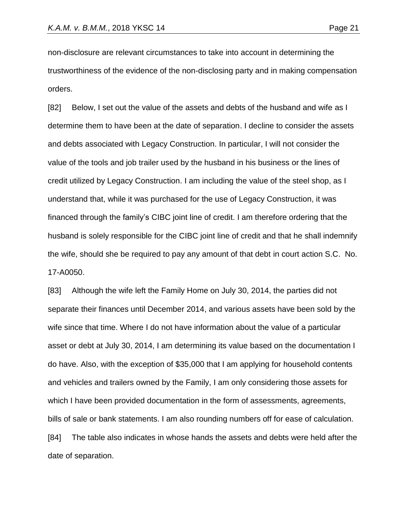non-disclosure are relevant circumstances to take into account in determining the trustworthiness of the evidence of the non-disclosing party and in making compensation orders.

[82] Below, I set out the value of the assets and debts of the husband and wife as I determine them to have been at the date of separation. I decline to consider the assets and debts associated with Legacy Construction. In particular, I will not consider the value of the tools and job trailer used by the husband in his business or the lines of credit utilized by Legacy Construction. I am including the value of the steel shop, as I understand that, while it was purchased for the use of Legacy Construction, it was financed through the family's CIBC joint line of credit. I am therefore ordering that the husband is solely responsible for the CIBC joint line of credit and that he shall indemnify the wife, should she be required to pay any amount of that debt in court action S.C. No. 17-A0050.

[83] Although the wife left the Family Home on July 30, 2014, the parties did not separate their finances until December 2014, and various assets have been sold by the wife since that time. Where I do not have information about the value of a particular asset or debt at July 30, 2014, I am determining its value based on the documentation I do have. Also, with the exception of \$35,000 that I am applying for household contents and vehicles and trailers owned by the Family, I am only considering those assets for which I have been provided documentation in the form of assessments, agreements, bills of sale or bank statements. I am also rounding numbers off for ease of calculation. [84] The table also indicates in whose hands the assets and debts were held after the date of separation.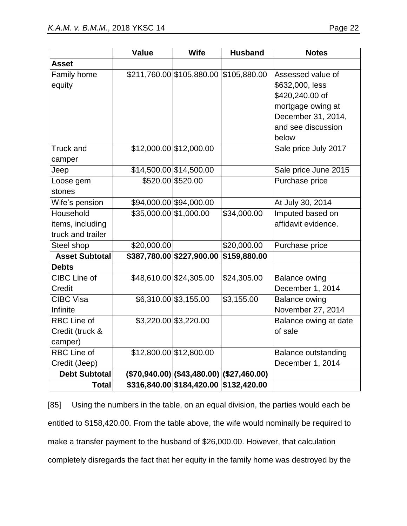|                       | <b>Value</b>           | <b>Wife</b>                            | <b>Husband</b>                                       | <b>Notes</b>               |
|-----------------------|------------------------|----------------------------------------|------------------------------------------------------|----------------------------|
| <b>Asset</b>          |                        |                                        |                                                      |                            |
| Family home           |                        | \$211,760.00 \$105,880.00 \$105,880.00 |                                                      | Assessed value of          |
| equity                |                        |                                        |                                                      | \$632,000, less            |
|                       |                        |                                        |                                                      | \$420,240.00 of            |
|                       |                        |                                        |                                                      | mortgage owing at          |
|                       |                        |                                        |                                                      | December 31, 2014,         |
|                       |                        |                                        |                                                      | and see discussion         |
|                       |                        |                                        |                                                      | below                      |
| <b>Truck and</b>      |                        | \$12,000.00 \$12,000.00                |                                                      | Sale price July 2017       |
| camper                |                        |                                        |                                                      |                            |
| Jeep                  |                        | \$14,500.00 \$14,500.00                |                                                      | Sale price June 2015       |
| Loose gem             |                        | \$520.00 \$520.00                      |                                                      | Purchase price             |
| stones                |                        |                                        |                                                      |                            |
| Wife's pension        |                        | \$94,000.00 \$94,000.00                |                                                      | At July 30, 2014           |
| Household             | \$35,000.00 \$1,000.00 |                                        | \$34,000.00                                          | Imputed based on           |
| items, including      |                        |                                        |                                                      | affidavit evidence.        |
| truck and trailer     |                        |                                        |                                                      |                            |
| Steel shop            | \$20,000.00            |                                        | \$20,000.00                                          | Purchase price             |
| <b>Asset Subtotal</b> |                        | \$387,780.00 \$227,900.00              | \$159,880.00                                         |                            |
| <b>Debts</b>          |                        |                                        |                                                      |                            |
| CIBC Line of          |                        | \$48,610.00 \$24,305.00                | \$24,305.00                                          | <b>Balance owing</b>       |
| Credit                |                        |                                        |                                                      | December 1, 2014           |
| <b>CIBC Visa</b>      |                        | $$6,310.00$ \$3,155.00                 | \$3,155.00                                           | <b>Balance owing</b>       |
| Infinite              |                        |                                        |                                                      | November 27, 2014          |
| <b>RBC Line of</b>    |                        | $$3,220.00$ \$3,220.00                 |                                                      | Balance owing at date      |
| Credit (truck &       |                        |                                        |                                                      | of sale                    |
| camper)               |                        |                                        |                                                      |                            |
| <b>RBC Line of</b>    |                        | \$12,800.00 \$12,800.00                |                                                      | <b>Balance outstanding</b> |
| Credit (Jeep)         |                        |                                        |                                                      | December 1, 2014           |
| <b>Debt Subtotal</b>  |                        |                                        | $($ \$70,940.00) $ ($ \$43,480.00) $ ($ \$27,460.00) |                            |
| <b>Total</b>          |                        | \$316,840.00 \$184,420.00 \$132,420.00 |                                                      |                            |

[85] Using the numbers in the table, on an equal division, the parties would each be entitled to \$158,420.00. From the table above, the wife would nominally be required to make a transfer payment to the husband of \$26,000.00. However, that calculation completely disregards the fact that her equity in the family home was destroyed by the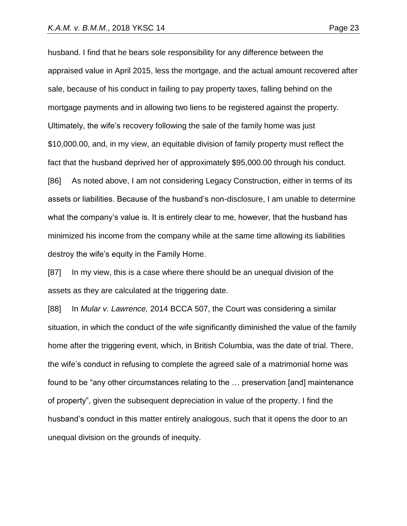husband. I find that he bears sole responsibility for any difference between the appraised value in April 2015, less the mortgage, and the actual amount recovered after sale, because of his conduct in failing to pay property taxes, falling behind on the mortgage payments and in allowing two liens to be registered against the property. Ultimately, the wife's recovery following the sale of the family home was just \$10,000.00, and, in my view, an equitable division of family property must reflect the fact that the husband deprived her of approximately \$95,000.00 through his conduct. [86] As noted above, I am not considering Legacy Construction, either in terms of its assets or liabilities. Because of the husband's non-disclosure, I am unable to determine what the company's value is. It is entirely clear to me, however, that the husband has minimized his income from the company while at the same time allowing its liabilities destroy the wife's equity in the Family Home.

[87] In my view, this is a case where there should be an unequal division of the assets as they are calculated at the triggering date.

[88] In *Mular v. Lawrence,* 2014 BCCA 507, the Court was considering a similar situation, in which the conduct of the wife significantly diminished the value of the family home after the triggering event, which, in British Columbia, was the date of trial. There, the wife's conduct in refusing to complete the agreed sale of a matrimonial home was found to be "any other circumstances relating to the … preservation [and] maintenance of property", given the subsequent depreciation in value of the property. I find the husband's conduct in this matter entirely analogous, such that it opens the door to an unequal division on the grounds of inequity.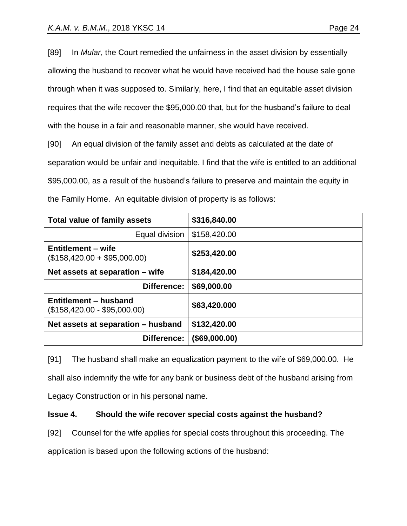[89] In *Mular*, the Court remedied the unfairness in the asset division by essentially allowing the husband to recover what he would have received had the house sale gone through when it was supposed to. Similarly, here, I find that an equitable asset division requires that the wife recover the \$95,000.00 that, but for the husband's failure to deal with the house in a fair and reasonable manner, she would have received.

[90] An equal division of the family asset and debts as calculated at the date of separation would be unfair and inequitable. I find that the wife is entitled to an additional \$95,000.00, as a result of the husband's failure to preserve and maintain the equity in the Family Home. An equitable division of property is as follows:

| <b>Total value of family assets</b>                   | \$316,840.00     |
|-------------------------------------------------------|------------------|
| Equal division                                        | \$158,420.00     |
| Entitlement – wife<br>$($158,420.00 + $95,000.00)$    | \$253,420.00     |
| Net assets at separation – wife                       | \$184,420.00     |
| Difference:                                           | \$69,000.00      |
| Entitlement - husband<br>$($158,420.00 - $95,000.00)$ | \$63,420.000     |
| Net assets at separation - husband                    | \$132,420.00     |
| Difference:                                           | $($ \$69,000.00) |

[91] The husband shall make an equalization payment to the wife of \$69,000.00. He shall also indemnify the wife for any bank or business debt of the husband arising from Legacy Construction or in his personal name.

# **Issue 4. Should the wife recover special costs against the husband?**

[92] Counsel for the wife applies for special costs throughout this proceeding. The

application is based upon the following actions of the husband: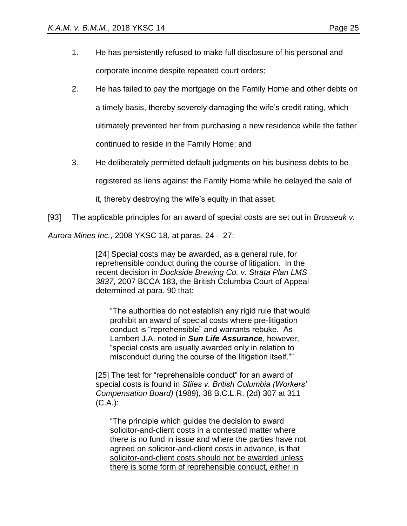- 1. He has persistently refused to make full disclosure of his personal and corporate income despite repeated court orders;
- 2. He has failed to pay the mortgage on the Family Home and other debts on a timely basis, thereby severely damaging the wife's credit rating, which ultimately prevented her from purchasing a new residence while the father continued to reside in the Family Home; and
- 3. He deliberately permitted default judgments on his business debts to be

registered as liens against the Family Home while he delayed the sale of

it, thereby destroying the wife's equity in that asset.

[93] The applicable principles for an award of special costs are set out in *Brosseuk v.* 

*Aurora Mines Inc.*, 2008 YKSC 18, at paras. 24 – 27:

[24] Special costs may be awarded, as a general rule, for reprehensible conduct during the course of litigation. In the recent decision in *Dockside Brewing Co. v. Strata Plan LMS 3837*, 2007 BCCA 183, the British Columbia Court of Appeal determined at para. 90 that:

"The authorities do not establish any rigid rule that would prohibit an award of special costs where pre-litigation conduct is "reprehensible" and warrants rebuke. As Lambert J.A. noted in *Sun Life Assurance*, however, "special costs are usually awarded only in relation to misconduct during the course of the litigation itself.""

[25] The test for "reprehensible conduct" for an award of special costs is found in *Stiles v. British Columbia (Workers' Compensation Board)* (1989), 38 B.C.L.R. (2d) 307 at 311 (C.A.):

"The principle which guides the decision to award solicitor-and-client costs in a contested matter where there is no fund in issue and where the parties have not agreed on solicitor-and-client costs in advance, is that solicitor-and-client costs should not be awarded unless there is some form of reprehensible conduct, either in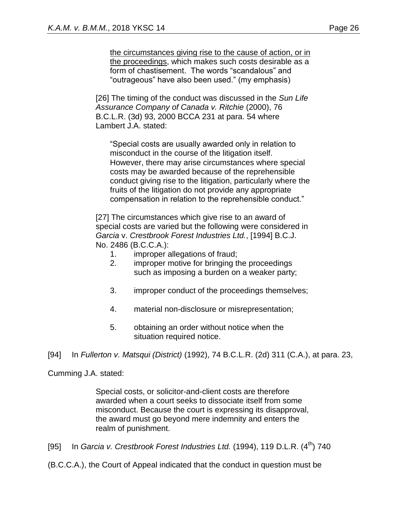the circumstances giving rise to the cause of action, or in the proceedings, which makes such costs desirable as a form of chastisement. The words "scandalous" and "outrageous" have also been used." (my emphasis)

[26] The timing of the conduct was discussed in the *Sun Life Assurance Company of Canada v. Ritchie* (2000), 76 B.C.L.R. (3d) 93, 2000 BCCA 231 at para. 54 where Lambert J.A. stated:

"Special costs are usually awarded only in relation to misconduct in the course of the litigation itself. However, there may arise circumstances where special costs may be awarded because of the reprehensible conduct giving rise to the litigation, particularly where the fruits of the litigation do not provide any appropriate compensation in relation to the reprehensible conduct."

[27] The circumstances which give rise to an award of special costs are varied but the following were considered in *Garcia* v. *Crestbrook Forest Industries Ltd.*, [1994] B.C.J. No. 2486 (B.C.C.A.):

- 1. improper allegations of fraud;
- 2. improper motive for bringing the proceedings such as imposing a burden on a weaker party;
- 3. improper conduct of the proceedings themselves;
- 4. material non-disclosure or misrepresentation;
- 5. obtaining an order without notice when the situation required notice.

[94] In *Fullerton v. Matsqui (District)* (1992), 74 B.C.L.R. (2d) 311 (C.A.), at para. 23,

Cumming J.A. stated:

Special costs, or solicitor-and-client costs are therefore awarded when a court seeks to dissociate itself from some misconduct. Because the court is expressing its disapproval, the award must go beyond mere indemnity and enters the realm of punishment.

[95] In *Garcia v. Crestbrook Forest Industries Ltd.* (1994), 119 D.L.R. (4<sup>th</sup>) 740

(B.C.C.A.), the Court of Appeal indicated that the conduct in question must be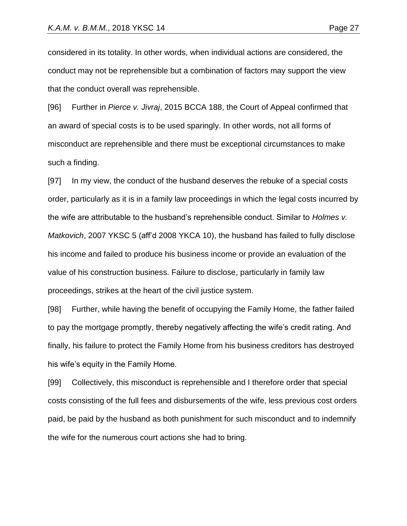considered in its totality. In other words, when individual actions are considered, the conduct may not be reprehensible but a combination of factors may support the view that the conduct overall was reprehensible.

[96] Further in *Pierce v. Jivraj*, 2015 BCCA 188, the Court of Appeal confirmed that an award of special costs is to be used sparingly. In other words, not all forms of misconduct are reprehensible and there must be exceptional circumstances to make such a finding.

[97] In my view, the conduct of the husband deserves the rebuke of a special costs order, particularly as it is in a family law proceedings in which the legal costs incurred by the wife are attributable to the husband's reprehensible conduct. Similar to *Holmes v. Matkovich*, 2007 YKSC 5 (aff'd 2008 YKCA 10), the husband has failed to fully disclose his income and failed to produce his business income or provide an evaluation of the value of his construction business. Failure to disclose, particularly in family law proceedings, strikes at the heart of the civil justice system.

[98] Further, while having the benefit of occupying the Family Home, the father failed to pay the mortgage promptly, thereby negatively affecting the wife's credit rating. And finally, his failure to protect the Family Home from his business creditors has destroyed his wife's equity in the Family Home.

[99] Collectively, this misconduct is reprehensible and I therefore order that special costs consisting of the full fees and disbursements of the wife, less previous cost orders paid, be paid by the husband as both punishment for such misconduct and to indemnify the wife for the numerous court actions she had to bring.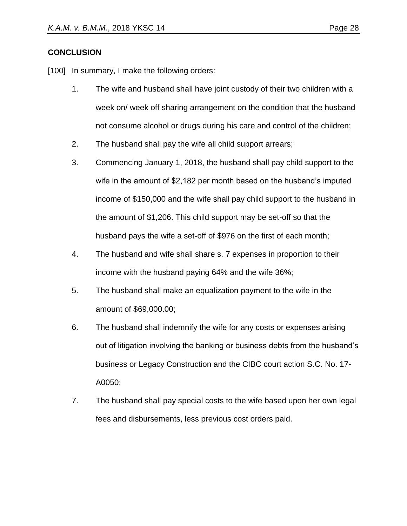## **CONCLUSION**

[100] In summary, I make the following orders:

- 1. The wife and husband shall have joint custody of their two children with a week on/ week off sharing arrangement on the condition that the husband not consume alcohol or drugs during his care and control of the children;
- 2. The husband shall pay the wife all child support arrears;
- 3. Commencing January 1, 2018, the husband shall pay child support to the wife in the amount of \$2,182 per month based on the husband's imputed income of \$150,000 and the wife shall pay child support to the husband in the amount of \$1,206. This child support may be set-off so that the husband pays the wife a set-off of \$976 on the first of each month;
- 4. The husband and wife shall share s. 7 expenses in proportion to their income with the husband paying 64% and the wife 36%;
- 5. The husband shall make an equalization payment to the wife in the amount of \$69,000.00;
- 6. The husband shall indemnify the wife for any costs or expenses arising out of litigation involving the banking or business debts from the husband's business or Legacy Construction and the CIBC court action S.C. No. 17- A0050;
- 7. The husband shall pay special costs to the wife based upon her own legal fees and disbursements, less previous cost orders paid.